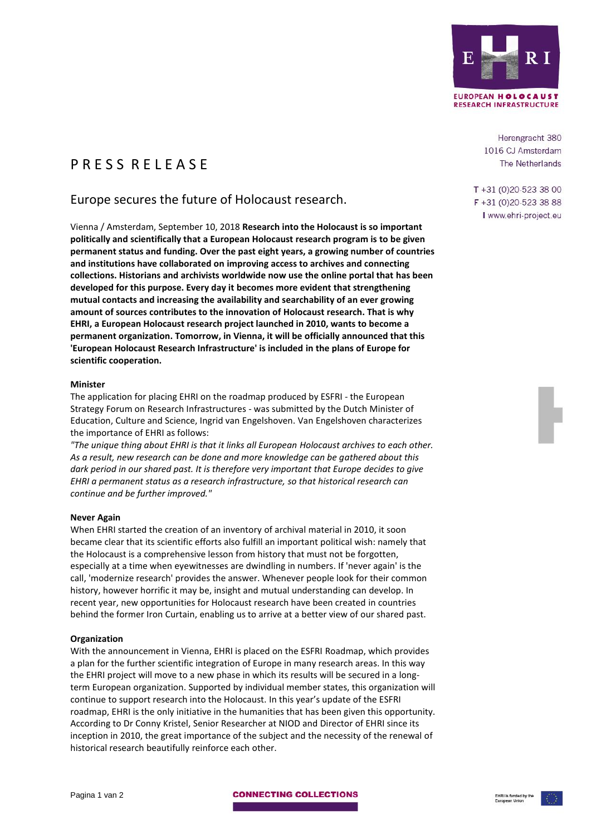

P R F S S R F I F A S F

# Europe secures the future of Holocaust research.

Vienna / Amsterdam, September 10, 2018 **Research into the Holocaust is so important politically and scientifically that a European Holocaust research program is to be given permanent status and funding. Over the past eight years, a growing number of countries and institutions have collaborated on improving access to archives and connecting collections. Historians and archivists worldwide now use the online portal that has been developed for this purpose. Every day it becomes more evident that strengthening mutual contacts and increasing the availability and searchability of an ever growing amount of sources contributes to the innovation of Holocaust research. That is why EHRI, a European Holocaust research project launched in 2010, wants to become a permanent organization. Tomorrow, in Vienna, it will be officially announced that this 'European Holocaust Research Infrastructure' is included in the plans of Europe for scientific cooperation.**

## **Minister**

The application for placing EHRI on the roadmap produced by ESFRI - the European Strategy Forum on Research Infrastructures - was submitted by the Dutch Minister of Education, Culture and Science, Ingrid van Engelshoven. Van Engelshoven characterizes the importance of EHRI as follows:

*"The unique thing about EHRI is that it links all European Holocaust archives to each other. As a result, new research can be done and more knowledge can be gathered about this dark period in our shared past. It is therefore very important that Europe decides to give EHRI a permanent status as a research infrastructure, so that historical research can continue and be further improved."*

## **Never Again**

When EHRI started the creation of an inventory of archival material in 2010, it soon became clear that its scientific efforts also fulfill an important political wish: namely that the Holocaust is a comprehensive lesson from history that must not be forgotten, especially at a time when eyewitnesses are dwindling in numbers. If 'never again' is the call, 'modernize research' provides the answer. Whenever people look for their common history, however horrific it may be, insight and mutual understanding can develop. In recent year, new opportunities for Holocaust research have been created in countries behind the former Iron Curtain, enabling us to arrive at a better view of our shared past.

## **Organization**

With the announcement in Vienna, EHRI is placed on the ESFRI Roadmap, which provides a plan for the further scientific integration of Europe in many research areas. In this way the EHRI project will move to a new phase in which its results will be secured in a longterm European organization. Supported by individual member states, this organization will continue to support research into the Holocaust. In this year's update of the ESFRI roadmap, EHRI is the only initiative in the humanities that has been given this opportunity. According to Dr Conny Kristel, Senior Researcher at NIOD and Director of EHRI since its inception in 2010, the great importance of the subject and the necessity of the renewal of historical research beautifully reinforce each other.

Herengracht 380 1016 CJ Amsterdam The Netherlands

 $T + 31(0)20 - 5233800$  $F + 31(0)20 - 5233888$ I www.ehri-project.eu